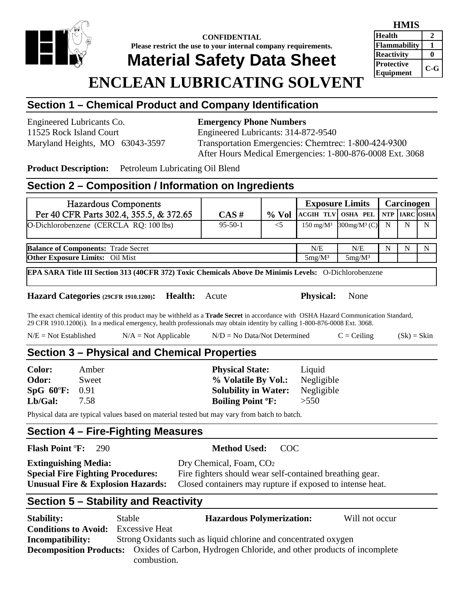

## **CONFIDENTIAL Please restrict the use to your internal company requirements.**

# **Material Safety Data Sheet**

#### **HMIS Health 2 Flammability 1 Reactivity** 0 **Protective Equipment C-G**

# **ENCLEAN LUBRICATING SOLVENT**

## **Section 1 – Chemical Product and Company Identification**

Engineered Lubricants Co. **Emergency Phone Numbers**

## 11525 Rock Island Court Engineered Lubricants: 314-872-9540 Maryland Heights, MO 63043-3597 Transportation Emergencies: Chemtrec: 1-800-424-9300 After Hours Medical Emergencies: 1-800-876-0008 Ext. 3068

**Product Description:** Petroleum Lubricating Oil Blend

### **Section 2 – Composition / Information on Ingredients**

| <b>Hazardous Components</b>                |               |           | <b>Exposure Limits</b> |                                                  | Carcinogen |   |   |
|--------------------------------------------|---------------|-----------|------------------------|--------------------------------------------------|------------|---|---|
| Per 40 CFR Parts 302.4, 355.5, & 372.65    | CAS#          | $\%$ Vol  |                        | ACGIH TLV OSHA PEL NTP ARC OSHA                  |            |   |   |
| O-Dichlorobenzene (CERCLA RQ: 100 lbs)     | $95 - 50 - 1$ | $<$ 5     |                        | 150 mg/M <sup>3</sup> 300mg/M <sup>3</sup> (C) N |            | N | N |
| <b>Balance of Components: Trade Secret</b> |               |           | N/E                    | N/E                                              | N          | N | N |
| <b>Other Exposure Limits:</b> Oil Mist     |               | $5mg/M^3$ | $5mg/M^3$              |                                                  |            |   |   |

**EPA SARA Title III Section 313 (40CFR 372) Toxic Chemicals Above De Minimis Levels:** O-Dichlorobenzene

**Hazard Categories (29CFR 1910.1200): Health:** Acute **Physical:** None

The exact chemical identity of this product may be withheld as a **Trade Secret** in accordance with OSHA Hazard Communication Standard, 29 CFR 1910.1200(i). In a medical emergency, health professionals may obtain identity by calling 1-800-876-0008 Ext. 3068.

 $N/E = Not Established$   $N/A = Not Applied$   $N/D = No Data/Not Determined$   $C = Ceiling$   $(Sk) = Skin$ 

## **Section 3 – Physical and Chemical Properties**

| Color:                  | Amber | <b>Physical State:</b>              | Liquid     |
|-------------------------|-------|-------------------------------------|------------|
| Odor:                   | Sweet | % Volatile By Vol.:                 | Negligible |
| $SpG 60^{\circ}F: 0.91$ |       | <b>Solubility in Water:</b>         | Negligible |
| Lb/Gal:                 | 7.58  | <b>Boiling Point <sup>o</sup>F:</b> | >550       |

Physical data are typical values based on material tested but may vary from batch to batch.

## **Section 4 – Fire-Fighting Measures**

#### **Flash Point** º**F:** 290 **Method Used:** COC

**Extinguishing Media:** Dry Chemical, Foam, CO<sub>2</sub>

**Special Fire Fighting Procedures:** Fire fighters should wear self-contained breathing gear.<br>**Unusual Fire & Explosion Hazards:** Closed containers may rupture if exposed to intense hea Closed containers may rupture if exposed to intense heat.

## **Section 5 – Stability and Reactivity**

| <b>Stability:</b>           | Stable                | <b>Hazardous Polymerization:</b>                                                                     | Will not occur |
|-----------------------------|-----------------------|------------------------------------------------------------------------------------------------------|----------------|
| <b>Conditions to Avoid:</b> | <b>Excessive Heat</b> |                                                                                                      |                |
| <b>Incompatibility:</b>     |                       | Strong Oxidants such as liquid chlorine and concentrated oxygen                                      |                |
|                             |                       | <b>Decomposition Products:</b> Oxides of Carbon, Hydrogen Chloride, and other products of incomplete |                |
|                             | combustion.           |                                                                                                      |                |